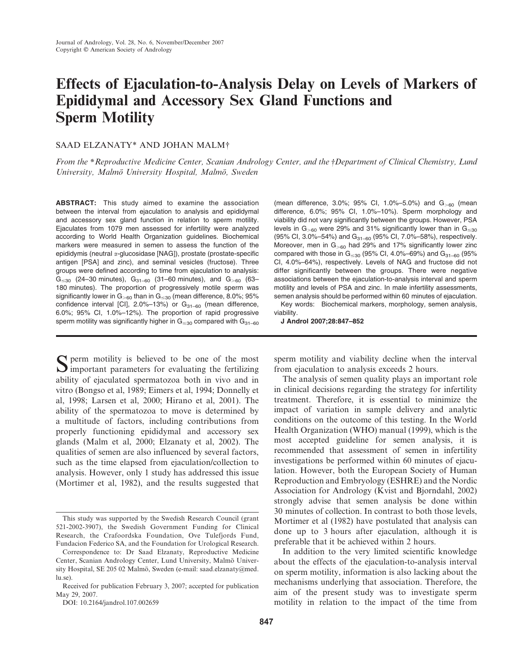# Effects of Ejaculation-to-Analysis Delay on Levels of Markers of Epididymal and Accessory Sex Gland Functions and Sperm Motility

## SAAD ELZANATY\* AND JOHAN MALM<sup>†</sup>

From the \*Reproductive Medicine Center, Scanian Andrology Center, and the †Department of Clinical Chemistry, Lund University, Malmö University Hospital, Malmö, Sweden

ABSTRACT: This study aimed to examine the association between the interval from ejaculation to analysis and epididymal and accessory sex gland function in relation to sperm motility. Ejaculates from 1079 men assessed for infertility were analyzed according to World Health Organization guidelines. Biochemical markers were measured in semen to assess the function of the epididymis (neutral a-glucosidase [NAG]), prostate (prostate-specific antigen [PSA] and zinc), and seminal vesicles (fructose). Three groups were defined according to time from ejaculation to analysis:  $G_{\leq 30}$  (24–30 minutes),  $G_{31-60}$  (31–60 minutes), and  $G_{>60}$  (63– 180 minutes). The proportion of progressively motile sperm was significantly lower in  $G_{>60}$  than in  $G_{\leq 30}$  (mean difference, 8.0%; 95% confidence interval [CI], 2.0%-13%) or  $G_{31-60}$  (mean difference, 6.0%; 95% CI, 1.0%–12%). The proportion of rapid progressive sperm motility was significantly higher in  $G_{\leq 30}$  compared with  $G_{31-60}$ 

Sperm motility is believed to be one of the most  $\bigcup$  important parameters for evaluating the fertilizing ability of ejaculated spermatozoa both in vivo and in vitro (Bongso et al, 1989; Eimers et al, 1994; Donnelly et al, 1998; Larsen et al, 2000; Hirano et al, 2001). The ability of the spermatozoa to move is determined by a multitude of factors, including contributions from properly functioning epididymal and accessory sex glands (Malm et al, 2000; Elzanaty et al, 2002). The qualities of semen are also influenced by several factors, such as the time elapsed from ejaculation/collection to analysis. However, only 1 study has addressed this issue (Mortimer et al, 1982), and the results suggested that

Correspondence to: Dr Saad Elzanaty, Reproductive Medicine Center, Scanian Andrology Center, Lund University, Malmö University Hospital, SE 205 02 Malmö, Sweden (e-mail: saad.elzanaty@med. lu.se).

DOI: 10.2164/jandrol.107.002659

(mean difference, 3.0%; 95% CI, 1.0%-5.0%) and  $G_{>60}$  (mean difference, 6.0%; 95% CI, 1.0%–10%). Sperm morphology and viability did not vary significantly between the groups. However, PSA levels in  $G_{>60}$  were 29% and 31% significantly lower than in  $G_{\leq 30}$ (95% CI, 3.0%–54%) and G<sub>31–60</sub> (95% CI, 7.0%–58%), respectively. Moreover, men in  $G_{>60}$  had 29% and 17% significantly lower zinc compared with those in  $G_{\leq 30}$  (95% CI, 4.0%–69%) and  $G_{31-60}$  (95% CI, 4.0%–64%), respectively. Levels of NAG and fructose did not differ significantly between the groups. There were negative associations between the ejaculation-to-analysis interval and sperm motility and levels of PSA and zinc. In male infertility assessments, semen analysis should be performed within 60 minutes of ejaculation.

Key words: Biochemical markers, morphology, semen analysis, viability.

J Androl 2007;28:847–852

sperm motility and viability decline when the interval from ejaculation to analysis exceeds 2 hours.

The analysis of semen quality plays an important role in clinical decisions regarding the strategy for infertility treatment. Therefore, it is essential to minimize the impact of variation in sample delivery and analytic conditions on the outcome of this testing. In the World Health Organization (WHO) manual (1999), which is the most accepted guideline for semen analysis, it is recommended that assessment of semen in infertility investigations be performed within 60 minutes of ejaculation. However, both the European Society of Human Reproduction and Embryology (ESHRE) and the Nordic Association for Andrology (Kvist and Bjorndahl, 2002) strongly advise that semen analysis be done within 30 minutes of collection. In contrast to both those levels, Mortimer et al (1982) have postulated that analysis can done up to 3 hours after ejaculation, although it is preferable that it be achieved within 2 hours.

In addition to the very limited scientific knowledge about the effects of the ejaculation-to-analysis interval on sperm motility, information is also lacking about the mechanisms underlying that association. Therefore, the aim of the present study was to investigate sperm motility in relation to the impact of the time from

This study was supported by the Swedish Research Council (grant 521-2002-3907), the Swedish Government Funding for Clinical Research, the Crafoordska Foundation, Ove Tulefjords Fund, Fundacion Federico SA, and the Foundation for Urological Research.

Received for publication February 3, 2007; accepted for publication May 29, 2007.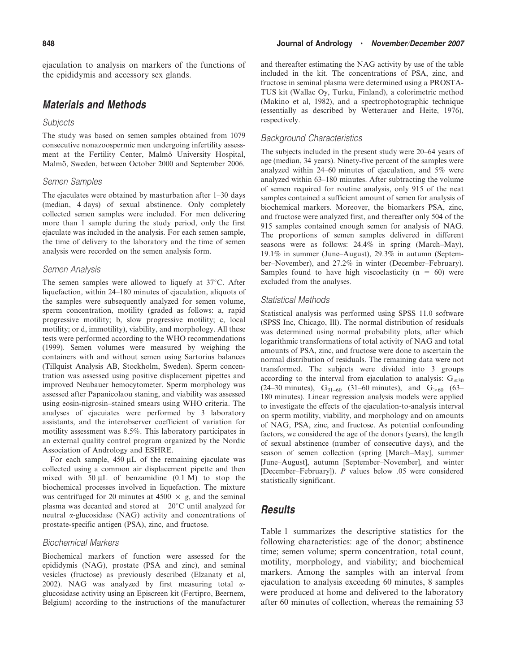ejaculation to analysis on markers of the functions of the epididymis and accessory sex glands.

# Materials and Methods

#### **Subjects**

The study was based on semen samples obtained from 1079 consecutive nonazoospermic men undergoing infertility assessment at the Fertility Center, Malmö University Hospital, Malmö, Sweden, between October 2000 and September 2006.

#### Semen Samples

The ejaculates were obtained by masturbation after 1–30 days (median, 4 days) of sexual abstinence. Only completely collected semen samples were included. For men delivering more than 1 sample during the study period, only the first ejaculate was included in the analysis. For each semen sample, the time of delivery to the laboratory and the time of semen analysis were recorded on the semen analysis form.

#### Semen Analysis

The semen samples were allowed to liquefy at  $37^{\circ}$ C. After liquefaction, within 24–180 minutes of ejaculation, aliquots of the samples were subsequently analyzed for semen volume, sperm concentration, motility (graded as follows: a, rapid progressive motility; b, slow progressive motility; c, local motility; or d, immotility), viability, and morphology. All these tests were performed according to the WHO recommendations (1999). Semen volumes were measured by weighing the containers with and without semen using Sartorius balances (Tillquist Analysis AB, Stockholm, Sweden). Sperm concentration was assessed using positive displacement pipettes and improved Neubauer hemocytometer. Sperm morphology was assessed after Papanicolaou staning, and viability was assessed using eosin-nigrosin–stained smears using WHO criteria. The analyses of ejacuiates were performed by 3 laboratory assistants, and the interobserver coefficient of variation for motility assessment was 8.5%. This laboratory participates in an external quality control program organized by the Nordic Association of Andrology and ESHRE.

For each sample,  $450 \mu L$  of the remaining ejaculate was collected using a common air displacement pipette and then mixed with  $50 \mu L$  of benzamidine  $(0.1 \text{ M})$  to stop the biochemical processes involved in liquefaction. The mixture was centrifuged for 20 minutes at 4500  $\times$  g, and the seminal plasma was decanted and stored at  $-20^{\circ}$ C until analyzed for neutral a-glucosidase (NAG) activity and concentrations of prostate-specific antigen (PSA), zinc, and fructose.

#### Biochemical Markers

Biochemical markers of function were assessed for the epididymis (NAG), prostate (PSA and zinc), and seminal vesicles (fructose) as previously described (Elzanaty et al, 2002). NAG was analyzed by first measuring total  $\alpha$ glucosidase activity using an Episcreen kit (Fertipro, Beernem, Belgium) according to the instructions of the manufacturer and thereafter estimating the NAG activity by use of the table included in the kit. The concentrations of PSA, zinc, and fructose in seminal plasma were determined using a PROSTA-TUS kit (Wallac Oy, Turku, Finland), a colorimetric method (Makino et al, 1982), and a spectrophotographic technique (essentially as described by Wetterauer and Heite, 1976), respectively.

#### Background Characteristics

The subjects included in the present study were 20–64 years of age (median, 34 years). Ninety-five percent of the samples were analyzed within 24–60 minutes of ejaculation, and 5% were analyzed within 63–180 minutes. After subtracting the volume of semen required for routine analysis, only 915 of the neat samples contained a sufficient amount of semen for analysis of biochemical markers. Moreover, the biomarkers PSA, zinc, and fructose were analyzed first, and thereafter only 504 of the 915 samples contained enough semen for analysis of NAG. The proportions of semen samples delivered in different seasons were as follows: 24.4% in spring (March–May), 19.1% in summer (June–August), 29.3% in autumn (September–November), and 27.2% in winter (December–February). Samples found to have high viscoelasticity ( $n = 60$ ) were excluded from the analyses.

#### Statistical Methods

Statistical analysis was performed using SPSS 11.0 software (SPSS Inc, Chicago, Ill). The normal distribution of residuals was determined using normal probability plots, after which logarithmic transformations of total activity of NAG and total amounts of PSA, zinc, and fructose were done to ascertain the normal distribution of residuals. The remaining data were not transformed. The subjects were divided into 3 groups according to the interval from ejaculation to analysis:  $G_{\leq 30}$ (24–30 minutes),  $G_{31-60}$  (31–60 minutes), and  $G_{>60}$  (63– 180 minutes). Linear regression analysis models were applied to investigate the effects of the ejaculation-to-analysis interval on sperm motility, viability, and morphology and on amounts of NAG, PSA, zinc, and fructose. As potential confounding factors, we considered the age of the donors (years), the length of sexual abstinence (number of consecutive days), and the season of semen collection (spring [March–May], summer [June–August], autumn [September–November], and winter [December–February]). P values below .05 were considered statistically significant.

## **Results**

Table 1 summarizes the descriptive statistics for the following characteristics: age of the donor; abstinence time; semen volume; sperm concentration, total count, motility, morphology, and viability; and biochemical markers. Among the samples with an interval from ejaculation to analysis exceeding 60 minutes, 8 samples were produced at home and delivered to the laboratory after 60 minutes of collection, whereas the remaining 53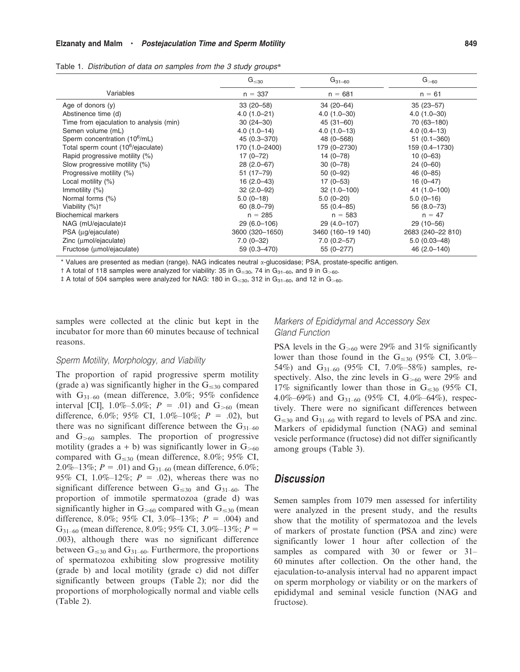Elzanaty and Malm · Postejaculation Time and Sperm Motility **Election Contract Contract Contract Contract Contract** 

|  |  |  |  |  | Table 1. Distribution of data on samples from the 3 study groups* |
|--|--|--|--|--|-------------------------------------------------------------------|
|--|--|--|--|--|-------------------------------------------------------------------|

|                                                | $\mathsf{G}_{\leq 30}$ | $G_{31-60}$       | $\mathsf{G}_{>60}$ |
|------------------------------------------------|------------------------|-------------------|--------------------|
| Variables                                      | $n = 337$              | $n = 681$         | $n = 61$           |
| Age of donors $(y)$                            | $33(20-58)$            | 34 (20-64)        | $35(23 - 57)$      |
| Abstinence time (d)                            | $4.0(1.0-21)$          | $4.0(1.0-30)$     | $4.0(1.0-30)$      |
| Time from ejaculation to analysis (min)        | $30(24 - 30)$          | $45(31 - 60)$     | 70 (63-180)        |
| Semen volume (mL)                              | $4.0(1.0-14)$          | $4.0(1.0-13)$     | $4.0(0.4-13)$      |
| Sperm concentration (10 <sup>6</sup> /mL)      | 45 (0.3-370)           | 48 (0-568)        | $51(0.1 - 360)$    |
| Total sperm count (10 <sup>6</sup> /ejaculate) | 170 (1.0-2400)         | 179 (0-2730)      | 159 (0.4-1730)     |
| Rapid progressive motility (%)                 | $17(0 - 72)$           | $14(0 - 78)$      | $10(0-63)$         |
| Slow progressive motility (%)                  | $28(2.0-67)$           | $30(0 - 78)$      | $24(0-60)$         |
| Progressive motility (%)                       | $51(17 - 79)$          | $50(0-92)$        | $46(0 - 85)$       |
| Local motility (%)                             | $16(2.0-43)$           | $17(0 - 53)$      | $16(0-47)$         |
| Immotility (%)                                 | $32(2.0-92)$           | $32(1.0-100)$     | 41 (1.0–100)       |
| Normal forms (%)                               | $5.0(0-18)$            | $5.0(0-20)$       | $5.0(0-16)$        |
| Viability (%) <sup>+</sup>                     | $60(8.0 - 79)$         | $55(0.4 - 85)$    | 56 (8.0–73)        |
| <b>Biochemical markers</b>                     | $n = 285$              | $n = 583$         | $n = 47$           |
| NAG (mU/ejaculate)‡                            | $29(6.0 - 106)$        | 29 (4.0-107)      | 29 (10-56)         |
| PSA (µg/ejaculate)                             | 3600 (320-1650)        | 3460 (160-19 140) | 2683 (240-22 810)  |
| Zinc (umol/ejaculate)                          | $7.0(0-32)$            | $7.0(0.2 - 57)$   | $5.0(0.03 - 48)$   |
| Fructose (umol/ejaculate)                      | 59 (0.3-470)           | 55 (0-277)        | 46 (2.0-140)       |

\* Values are presented as median (range). NAG indicates neutral a-glucosidase; PSA, prostate-specific antigen.

 $\pm$  A total of 118 samples were analyzed for viability: 35 in G<sub> $\leq$ 30</sub>, 74 in G<sub>31–60</sub>, and 9 in G<sub> $>$ 60</sub>.

 $\ddagger$  A total of 504 samples were analyzed for NAG: 180 in G $_{\leq 30}$ , 312 in G<sub>31–60</sub>, and 12 in G $_{>60}$ .

samples were collected at the clinic but kept in the incubator for more than 60 minutes because of technical reasons.

## Markers of Epididymal and Accessory Sex Gland Function

#### Sperm Motility, Morphology, and Viability

The proportion of rapid progressive sperm motility (grade a) was significantly higher in the  $G_{\leq 30}$  compared with  $G_{31-60}$  (mean difference, 3.0%; 95% confidence interval [CI],  $1.0\% - 5.0\%$ ;  $P = .01$ ) and  $G_{>60}$  (mean difference, 6.0%; 95% CI, 1.0%–10%;  $P = .02$ ), but there was no significant difference between the  $G_{31-60}$ and  $G_{\geq 60}$  samples. The proportion of progressive motility (grades  $a + b$ ) was significantly lower in  $G_{\geq 60}$ compared with  $G_{\leq 30}$  (mean difference, 8.0%; 95% CI, 2.0%–13%;  $P = .01$ ) and G<sub>31–60</sub> (mean difference, 6.0%; 95% CI, 1.0%-12%;  $P = .02$ ), whereas there was no significant difference between  $G_{\leq 30}$  and  $G_{31-60}$ . The proportion of immotile spermatozoa (grade d) was significantly higher in  $G_{\geq 60}$  compared with  $G_{\leq 30}$  (mean difference, 8.0%; 95% CI, 3.0%–13%;  $P = .004$ ) and  $G_{31-60}$  (mean difference, 8.0%; 95% CI, 3.0%–13%; P = .003), although there was no significant difference between  $G_{\leq 30}$  and  $G_{31-60}$ . Furthermore, the proportions of spermatozoa exhibiting slow progressive motility (grade b) and local motility (grade c) did not differ significantly between groups (Table 2); nor did the proportions of morphologically normal and viable cells (Table 2).

PSA levels in the  $G_{\geq 60}$  were 29% and 31% significantly lower than those found in the  $G_{\leq 30}$  (95% CI, 3.0%– 54%) and  $G_{31-60}$  (95% CI, 7.0%–58%) samples, respectively. Also, the zinc levels in  $G_{\geq 60}$  were 29% and 17% significantly lower than those in  $G_{\leq 30}$  (95% CI, 4.0%–69%) and  $G_{31-60}$  (95% CI, 4.0%–64%), respectively. There were no significant differences between  $G_{\leq 30}$  and  $G_{31-60}$  with regard to levels of PSA and zinc. Markers of epididymal function (NAG) and seminal vesicle performance (fructose) did not differ significantly among groups (Table 3).

## Discussion

Semen samples from 1079 men assessed for infertility were analyzed in the present study, and the results show that the motility of spermatozoa and the levels of markers of prostate function (PSA and zinc) were significantly lower 1 hour after collection of the samples as compared with 30 or fewer or 31– 60 minutes after collection. On the other hand, the ejaculation-to-analysis interval had no apparent impact on sperm morphology or viability or on the markers of epididymal and seminal vesicle function (NAG and fructose).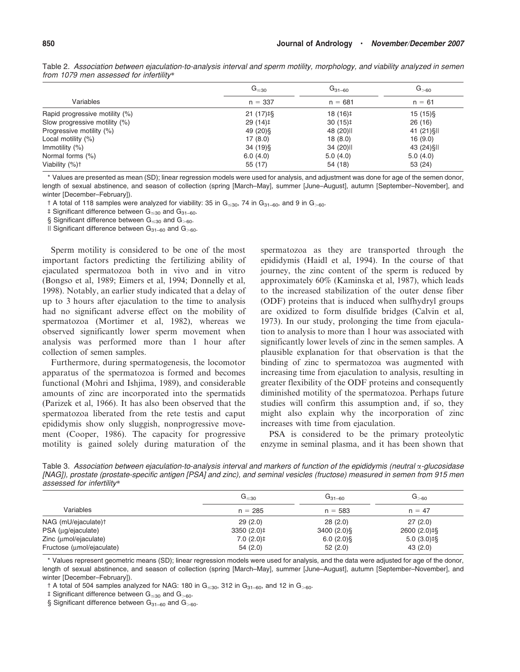|                                | $G_{\leq 30}$          | $G_{31-60}$ | $G_{>60}$   |  |
|--------------------------------|------------------------|-------------|-------------|--|
| Variables                      | $n = 337$              | $n = 681$   | $n = 61$    |  |
| Rapid progressive motility (%) | $21(17)$ <sup>‡§</sup> | $18(16)$ ‡  | $15(15)\$   |  |
| Slow progressive motility (%)  | 29(14)                 | $30(15)$ ‡  | 26(16)      |  |
| Progressive motility (%)       | 49 (20) \$             | 48 (20) II  | 41 (21) SII |  |
| Local motility (%)             | 17(8.0)                | 18(8.0)     | 16(9.0)     |  |
| Immotility $(\%)$              | $34(19)$ §             | 34 (20)     | 43 (24) \$1 |  |
| Normal forms (%)               | 6.0(4.0)               | 5.0(4.0)    | 5.0(4.0)    |  |
| Viability (%) <sup>+</sup>     | 55 (17)                | 54 (18)     | 53 (24)     |  |

Table 2. Association between ejaculation-to-analysis interval and sperm motility, morphology, and viability analyzed in semen from 1079 men assessed for infertility\*

\* Values are presented as mean (SD); linear regression models were used for analysis, and adjustment was done for age of the semen donor, length of sexual abstinence, and season of collection (spring [March–May], summer [June–August], autumn [September–November], and winter [December–February]).

 $\uparrow$  A total of 118 samples were analyzed for viability: 35 in G  $\leq$  30, 74 in G<sub>31–60</sub>, and 9 in G<sub>>60</sub>.

 $\ddagger$  Significant difference between G $_{\leq 30}$  and G<sub>31–60</sub>.

§ Significant difference between  $G_{\leq 30}$  and  $G_{\geq 60}$ .

 $\parallel$  Significant difference between G<sub>31–60</sub> and G<sub>>60</sub>.

Sperm motility is considered to be one of the most important factors predicting the fertilizing ability of ejaculated spermatozoa both in vivo and in vitro (Bongso et al, 1989; Eimers et al, 1994; Donnelly et al, 1998). Notably, an earlier study indicated that a delay of up to 3 hours after ejaculation to the time to analysis had no significant adverse effect on the mobility of spermatozoa (Mortimer et al, 1982), whereas we observed significantly lower sperm movement when analysis was performed more than 1 hour after collection of semen samples.

Furthermore, during spermatogenesis, the locomotor apparatus of the spermatozoa is formed and becomes functional (Mohri and Ishjima, 1989), and considerable amounts of zinc are incorporated into the spermatids (Parizek et al, 1966). It has also been observed that the spermatozoa liberated from the rete testis and caput epididymis show only sluggish, nonprogressive movement (Cooper, 1986). The capacity for progressive motility is gained solely during maturation of the spermatozoa as they are transported through the epididymis (Haidl et al, 1994). In the course of that journey, the zinc content of the sperm is reduced by approximately 60% (Kaminska et al, 1987), which leads to the increased stabilization of the outer dense fiber (ODF) proteins that is induced when sulfhydryl groups are oxidized to form disulfide bridges (Calvin et al, 1973). In our study, prolonging the time from ejaculation to analysis to more than 1 hour was associated with significantly lower levels of zinc in the semen samples. A plausible explanation for that observation is that the binding of zinc to spermatozoa was augmented with increasing time from ejaculation to analysis, resulting in greater flexibility of the ODF proteins and consequently diminished motility of the spermatozoa. Perhaps future studies will confirm this assumption and, if so, they might also explain why the incorporation of zinc increases with time from ejaculation.

PSA is considered to be the primary proteolytic enzyme in seminal plasma, and it has been shown that

Table 3. Association between ejaculation-to-analysis interval and markers of function of the epididymis (neutral  $\alpha$ -glucosidase [NAG]), prostate (prostate-specific antigen [PSA] and zinc), and seminal vesicles (fructose) measured in semen from 915 men assessed for infertility\*

|                                 | $G_{\leq 30}$ | $G_{31-60}$  | $G_{>60}$     |
|---------------------------------|---------------|--------------|---------------|
| Variables                       | $n = 285$     | $n = 583$    | $n = 47$      |
| NAG (mU/ejaculate) <sup>†</sup> | 29(2.0)       | 28(2.0)      | 27(2.0)       |
| PSA (µg/ejaculate)              | $3350(2.0)$ ‡ | $3400(2.0)\$ | 2600 (2.0) ‡§ |
| Zinc (umol/ejaculate)           | $7.0(2.0)$ ‡  | $6.0(2.0)$ § | $5.0(3.0)$ ‡§ |
| Fructose (umol/ejaculate)       | 54(2.0)       | 52(2.0)      | 43(2.0)       |

\* Values represent geometric means (SD); linear regression models were used for analysis, and the data were adjusted for age of the donor, length of sexual abstinence, and season of collection (spring [March–May], summer [June–August], autumn [September–November], and winter [December–February]).

 $\uparrow$  A total of 504 samples analyzed for NAG: 180 in G $_{\leq 30}$ , 312 in G<sub>31–60</sub>, and 12 in G $_{>60}$ .

 $\ddagger$  Significant difference between G $_{\leq 30}$  and G $_{>60}$ .

§ Significant difference between  $G_{31-60}$  and  $G_{>60}$ .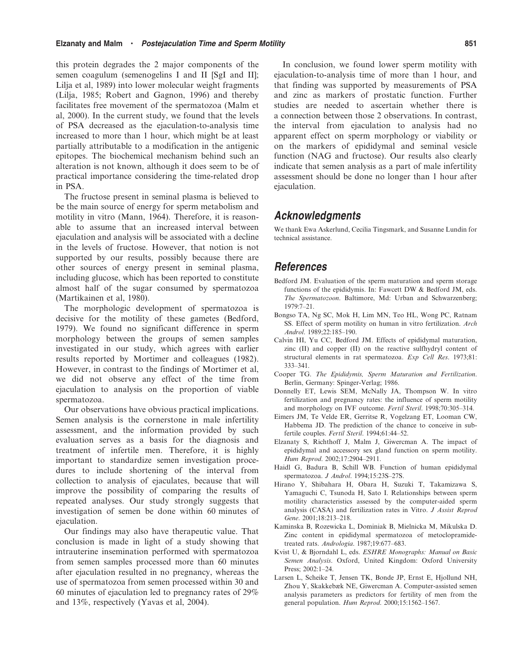this protein degrades the 2 major components of the semen coagulum (semenogelins I and II [SgI and II]; Lilja et al, 1989) into lower molecular weight fragments (Lilja, 1985; Robert and Gagnon, 1996) and thereby facilitates free movement of the spermatozoa (Malm et al, 2000). In the current study, we found that the levels of PSA decreased as the ejaculation-to-analysis time increased to more than 1 hour, which might be at least partially attributable to a modification in the antigenic epitopes. The biochemical mechanism behind such an alteration is not known, although it does seem to be of practical importance considering the time-related drop in PSA.

The fructose present in seminal plasma is believed to be the main source of energy for sperm metabolism and motility in vitro (Mann, 1964). Therefore, it is reasonable to assume that an increased interval between ejaculation and analysis will be associated with a decline in the levels of fructose. However, that notion is not supported by our results, possibly because there are other sources of energy present in seminal plasma, including glucose, which has been reported to constitute almost half of the sugar consumed by spermatozoa (Martikainen et al, 1980).

The morphologic development of spermatozoa is decisive for the motility of these gametes (Bedford, 1979). We found no significant difference in sperm morphology between the groups of semen samples investigated in our study, which agrees with earlier results reported by Mortimer and colleagues (1982). However, in contrast to the findings of Mortimer et al, we did not observe any effect of the time from ejaculation to analysis on the proportion of viable spermatozoa.

Our observations have obvious practical implications. Semen analysis is the cornerstone in male infertility assessment, and the information provided by such evaluation serves as a basis for the diagnosis and treatment of infertile men. Therefore, it is highly important to standardize semen investigation procedures to include shortening of the interval from collection to analysis of ejaculates, because that will improve the possibility of comparing the results of repeated analyses. Our study strongly suggests that investigation of semen be done within 60 minutes of ejaculation.

Our findings may also have therapeutic value. That conclusion is made in light of a study showing that intrauterine insemination performed with spermatozoa from semen samples processed more than 60 minutes after ejaculation resulted in no pregnancy, whereas the use of spermatozoa from semen processed within 30 and 60 minutes of ejaculation led to pregnancy rates of 29% and 13%, respectively (Yavas et al, 2004).

In conclusion, we found lower sperm motility with ejaculation-to-analysis time of more than 1 hour, and that finding was supported by measurements of PSA and zinc as markers of prostatic function. Further studies are needed to ascertain whether there is a connection between those 2 observations. In contrast, the interval from ejaculation to analysis had no apparent effect on sperm morphology or viability or on the markers of epididymal and seminal vesicle function (NAG and fructose). Our results also clearly indicate that semen analysis as a part of male infertility assessment should be done no longer than 1 hour after ejaculation.

# Acknowledgments

We thank Ewa Askerlund, Cecilia Tingsmark, and Susanne Lundin for technical assistance.

## References

- Bedford JM. Evaluation of the sperm maturation and sperm storage functions of the epididymis. In: Fawcett DW & Bedford JM, eds. The Spermatozoon. Baltimore, Md: Urban and Schwarzenberg; 1979:7–21.
- Bongso TA, Ng SC, Mok H, Lim MN, Teo HL, Wong PC, Ratnam SS. Effect of sperm motility on human in vitro fertilization. Arch Androl. 1989;22:185–190.
- Calvin HI, Yu CC, Bedford JM. Effects of epididymal maturation, zinc (II) and copper (II) on the reactive sulfhydryl content of structural elements in rat spermatozoa. Exp Cell Res. 1973;81: 333–341.
- Cooper TG. The Epididymis, Sperm Maturation and Fertilization. Berlin, Germany: Spinger-Verlag; 1986.
- Donnelly ET, Lewis SEM, McNally JA, Thompson W. In vitro fertilization and pregnancy rates: the influence of sperm motility and morphology on IVF outcome. Fertil Steril. 1998;70:305–314.
- Eimers JM, Te Velde ER, Gerritse R, Vogelzang ET, Looman CW, Habbema JD. The prediction of the chance to conceive in subfertile couples. Fertil Steril. 1994;61:44–52.
- Elzanaty S, Richthoff J, Malm J, Giwercman A. The impact of epididymal and accessory sex gland function on sperm motility. Hum Reprod. 2002;17:2904–2911.
- Haidl G, Badura B, Schill WB. Function of human epididymal spermatozoa. J Androl. 1994;15:23S–27S.
- Hirano Y, Shibahara H, Obara H, Suzuki T, Takamizawa S, Yamaguchi C, Tsunoda H, Sato I. Relationships between sperm motility characteristics assessed by the computer-aided sperm analysis (CASA) and fertilization rates in Vitro. J Assist Reprod Gene. 2001;18:213-218.
- Kaminska B, Rozewicka L, Dominiak B, Mielnicka M, Mikulska D. Zinc content in epididymal spermatozoa of metoclopramidetreated rats. Andrologia. 1987;19:677–683.
- Kvist U, & Bjorndahl L, eds. ESHRE Monographs: Manual on Basic Semen Analysis. Oxford, United Kingdom: Oxford University Press; 2002:1–24.
- Larsen L, Scheike T, Jensen TK, Bonde JP, Ernst E, Hjollund NH, Zhou Y, Skakkebæk NE, Giwercman A. Computer-assisted semen analysis parameters as predictors for fertility of men from the general population. Hum Reprod. 2000;15:1562–1567.